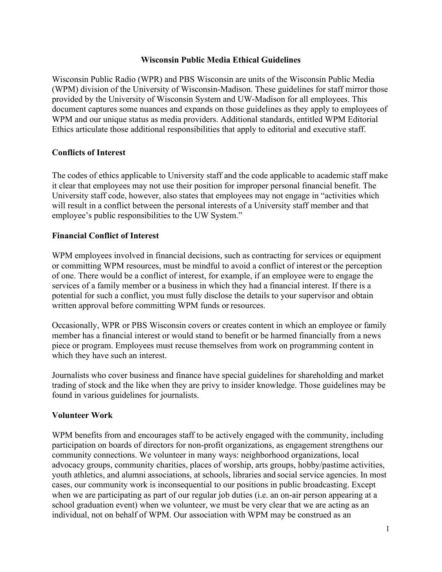### **Wisconsin Public Media Ethical Guidelines**

Wisconsin Public Radio (WPR) and PBS Wisconsin are units of the Wisconsin Public Media (WPM) division of the University of Wisconsin-Madison. These guidelines for staff mirror those provided by the University of Wisconsin System and UW-Madison for all employees. This document captures some nuances and expands on those guidelines as they apply to employees of WPM and our unique status as media providers. Additional standards, entitled WPM Editorial Ethics articulate those additional responsibilities that apply to editorial and executive staff.

### **Conflicts of Interest**

The codes of ethics applicable to University staff and the code applicable to academic staff make it clear that employees may not use their position for improper personal financial benefit. The University staff code, however, also states that employees may not engage in "activities which will result in a conflict between the personal interests of a University staff member and that employee's public responsibilities to the UW System."

### **Financial Conflict of Interest**

WPM employees involved in financial decisions, such as contracting for services or equipment or committing WPM resources, must be mindful to avoid a conflict of interest or the perception of one. There would be a conflict of interest, for example, if an employee were to engage the services of a family member or a business in which they had a financial interest. If there is a potential for such a conflict, you must fully disclose the details to your supervisor and obtain written approval before committing WPM funds or resources.

Occasionally, WPR or PBS Wisconsin covers or creates content in which an employee or family member has a financial interest or would stand to benefit or be harmed financially from a news piece or program. Employees must recuse themselves from work on programming content in which they have such an interest.

Journalists who cover business and finance have special guidelines for shareholding and market trading of stock and the like when they are privy to insider knowledge. Those guidelines may be found in various guidelines for journalists.

### **Volunteer Work**

WPM benefits from and encourages staff to be actively engaged with the community, including participation on boards of directors for non-profit organizations, as engagement strengthens our community connections. We volunteer in many ways: neighborhood organizations, local advocacy groups, community charities, places of worship, arts groups, hobby/pastime activities, youth athletics, and alumni associations, at schools, libraries and social service agencies. In most cases, our community work is inconsequential to our positions in public broadcasting. Except when we are participating as part of our regular job duties (i.e. an on-air person appearing at a school graduation event) when we volunteer, we must be very clear that we are acting as an individual, not on behalf of WPM. Our association with WPM may be construed as an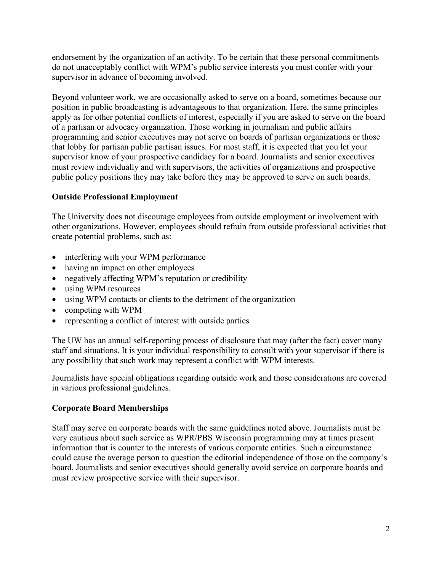endorsement by the organization of an activity. To be certain that these personal commitments do not unacceptably conflict with WPM's public service interests you must confer with your supervisor in advance of becoming involved.

Beyond volunteer work, we are occasionally asked to serve on a board, sometimes because our position in public broadcasting is advantageous to that organization. Here, the same principles apply as for other potential conflicts of interest, especially if you are asked to serve on the board of a partisan or advocacy organization. Those working in journalism and public affairs programming and senior executives may not serve on boards of partisan organizations or those that lobby for partisan public partisan issues. For most staff, it is expected that you let your supervisor know of your prospective candidacy for a board. Journalists and senior executives must review individually and with supervisors, the activities of organizations and prospective public policy positions they may take before they may be approved to serve on such boards.

# **Outside Professional Employment**

The University does not discourage employees from outside employment or involvement with other organizations. However, employees should refrain from outside professional activities that create potential problems, such as:

- interfering with your WPM performance
- having an impact on other employees
- negatively affecting WPM's reputation or credibility
- using WPM resources
- using WPM contacts or clients to the detriment of the organization
- competing with WPM
- representing a conflict of interest with outside parties

The UW has an annual self-reporting process of disclosure that may (after the fact) cover many staff and situations. It is your individual responsibility to consult with your supervisor if there is any possibility that such work may represent a conflict with WPM interests.

Journalists have special obligations regarding outside work and those considerations are covered in various professional guidelines.

## **Corporate Board Memberships**

Staff may serve on corporate boards with the same guidelines noted above. Journalists must be very cautious about such service as WPR/PBS Wisconsin programming may at times present information that is counter to the interests of various corporate entities. Such a circumstance could cause the average person to question the editorial independence of those on the company's board. Journalists and senior executives should generally avoid service on corporate boards and must review prospective service with their supervisor.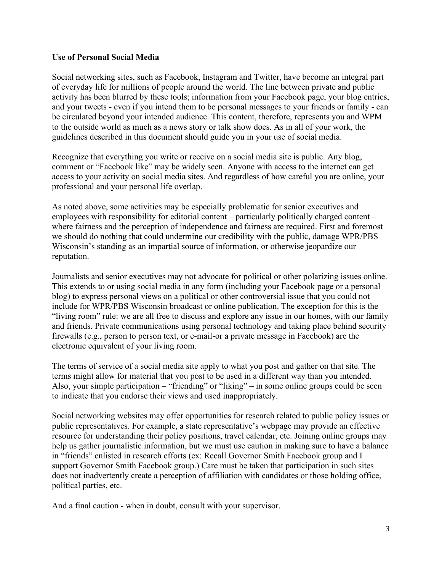### **Use of Personal Social Media**

Social networking sites, such as Facebook, Instagram and Twitter, have become an integral part of everyday life for millions of people around the world. The line between private and public activity has been blurred by these tools; information from your Facebook page, your blog entries, and your tweets - even if you intend them to be personal messages to your friends or family - can be circulated beyond your intended audience. This content, therefore, represents you and WPM to the outside world as much as a news story or talk show does. As in all of your work, the guidelines described in this document should guide you in your use of social media.

Recognize that everything you write or receive on a social media site is public. Any blog, comment or "Facebook like" may be widely seen. Anyone with access to the internet can get access to your activity on social media sites. And regardless of how careful you are online, your professional and your personal life overlap.

As noted above, some activities may be especially problematic for senior executives and employees with responsibility for editorial content – particularly politically charged content – where fairness and the perception of independence and fairness are required. First and foremost we should do nothing that could undermine our credibility with the public, damage WPR/PBS Wisconsin's standing as an impartial source of information, or otherwise jeopardize our reputation.

Journalists and senior executives may not advocate for political or other polarizing issues online. This extends to or using social media in any form (including your Facebook page or a personal blog) to express personal views on a political or other controversial issue that you could not include for WPR/PBS Wisconsin broadcast or online publication. The exception for this is the "living room" rule: we are all free to discuss and explore any issue in our homes, with our family and friends. Private communications using personal technology and taking place behind security firewalls (e.g., person to person text, or e-mail-or a private message in Facebook) are the electronic equivalent of your living room.

The terms of service of a social media site apply to what you post and gather on that site. The terms might allow for material that you post to be used in a different way than you intended. Also, your simple participation – "friending" or "liking" – in some online groups could be seen to indicate that you endorse their views and used inappropriately.

Social networking websites may offer opportunities for research related to public policy issues or public representatives. For example, a state representative's webpage may provide an effective resource for understanding their policy positions, travel calendar, etc. Joining online groups may help us gather journalistic information, but we must use caution in making sure to have a balance in "friends" enlisted in research efforts (ex: Recall Governor Smith Facebook group and I support Governor Smith Facebook group.) Care must be taken that participation in such sites does not inadvertently create a perception of affiliation with candidates or those holding office, political parties, etc.

And a final caution - when in doubt, consult with your supervisor.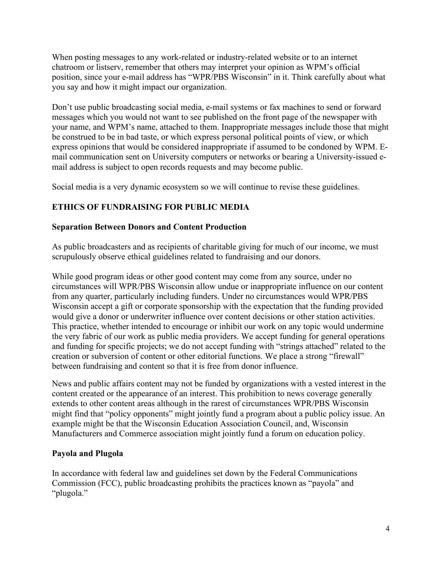When posting messages to any work-related or industry-related website or to an internet chatroom or listserv, remember that others may interpret your opinion as WPM's official position, since your e-mail address has "WPR/PBS Wisconsin" in it. Think carefully about what you say and how it might impact our organization.

Don't use public broadcasting social media, e-mail systems or fax machines to send or forward messages which you would not want to see published on the front page of the newspaper with your name, and WPM's name, attached to them. Inappropriate messages include those that might be construed to be in bad taste, or which express personal political points of view, or which express opinions that would be considered inappropriate if assumed to be condoned by WPM. Email communication sent on University computers or networks or bearing a University-issued email address is subject to open records requests and may become public.

Social media is a very dynamic ecosystem so we will continue to revise these guidelines.

# **ETHICS OF FUNDRAISING FOR PUBLIC MEDIA**

# **Separation Between Donors and Content Production**

As public broadcasters and as recipients of charitable giving for much of our income, we must scrupulously observe ethical guidelines related to fundraising and our donors.

While good program ideas or other good content may come from any source, under no circumstances will WPR/PBS Wisconsin allow undue or inappropriate influence on our content from any quarter, particularly including funders. Under no circumstances would WPR/PBS Wisconsin accept a gift or corporate sponsorship with the expectation that the funding provided would give a donor or underwriter influence over content decisions or other station activities. This practice, whether intended to encourage or inhibit our work on any topic would undermine the very fabric of our work as public media providers. We accept funding for general operations and funding for specific projects; we do not accept funding with "strings attached" related to the creation or subversion of content or other editorial functions. We place a strong "firewall" between fundraising and content so that it is free from donor influence.

News and public affairs content may not be funded by organizations with a vested interest in the content created or the appearance of an interest. This prohibition to news coverage generally extends to other content areas although in the rarest of circumstances WPR/PBS Wisconsin might find that "policy opponents" might jointly fund a program about a public policy issue. An example might be that the Wisconsin Education Association Council, and, Wisconsin Manufacturers and Commerce association might jointly fund a forum on education policy.

# **Payola and Plugola**

In accordance with federal law and guidelines set down by the Federal Communications Commission (FCC), public broadcasting prohibits the practices known as "payola" and "plugola."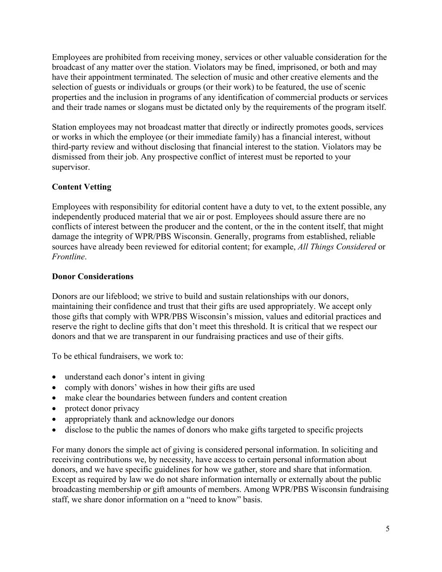Employees are prohibited from receiving money, services or other valuable consideration for the broadcast of any matter over the station. Violators may be fined, imprisoned, or both and may have their appointment terminated. The selection of music and other creative elements and the selection of guests or individuals or groups (or their work) to be featured, the use of scenic properties and the inclusion in programs of any identification of commercial products or services and their trade names or slogans must be dictated only by the requirements of the program itself.

Station employees may not broadcast matter that directly or indirectly promotes goods, services or works in which the employee (or their immediate family) has a financial interest, without third-party review and without disclosing that financial interest to the station. Violators may be dismissed from their job. Any prospective conflict of interest must be reported to your supervisor.

# **Content Vetting**

Employees with responsibility for editorial content have a duty to vet, to the extent possible, any independently produced material that we air or post. Employees should assure there are no conflicts of interest between the producer and the content, or the in the content itself, that might damage the integrity of WPR/PBS Wisconsin. Generally, programs from established, reliable sources have already been reviewed for editorial content; for example, *All Things Considered* or *Frontline*.

## **Donor Considerations**

Donors are our lifeblood; we strive to build and sustain relationships with our donors, maintaining their confidence and trust that their gifts are used appropriately. We accept only those gifts that comply with WPR/PBS Wisconsin's mission, values and editorial practices and reserve the right to decline gifts that don't meet this threshold. It is critical that we respect our donors and that we are transparent in our fundraising practices and use of their gifts.

To be ethical fundraisers, we work to:

- understand each donor's intent in giving
- comply with donors' wishes in how their gifts are used
- make clear the boundaries between funders and content creation
- protect donor privacy
- appropriately thank and acknowledge our donors
- disclose to the public the names of donors who make gifts targeted to specific projects

For many donors the simple act of giving is considered personal information. In soliciting and receiving contributions we, by necessity, have access to certain personal information about donors, and we have specific guidelines for how we gather, store and share that information. Except as required by law we do not share information internally or externally about the public broadcasting membership or gift amounts of members. Among WPR/PBS Wisconsin fundraising staff, we share donor information on a "need to know" basis.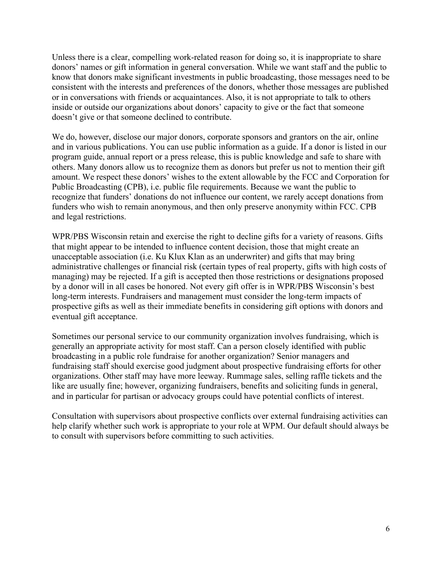Unless there is a clear, compelling work-related reason for doing so, it is inappropriate to share donors' names or gift information in general conversation. While we want staff and the public to know that donors make significant investments in public broadcasting, those messages need to be consistent with the interests and preferences of the donors, whether those messages are published or in conversations with friends or acquaintances. Also, it is not appropriate to talk to others inside or outside our organizations about donors' capacity to give or the fact that someone doesn't give or that someone declined to contribute.

We do, however, disclose our major donors, corporate sponsors and grantors on the air, online and in various publications. You can use public information as a guide. If a donor is listed in our program guide, annual report or a press release, this is public knowledge and safe to share with others. Many donors allow us to recognize them as donors but prefer us not to mention their gift amount. We respect these donors' wishes to the extent allowable by the FCC and Corporation for Public Broadcasting (CPB), i.e. public file requirements. Because we want the public to recognize that funders' donations do not influence our content, we rarely accept donations from funders who wish to remain anonymous, and then only preserve anonymity within FCC. CPB and legal restrictions.

WPR/PBS Wisconsin retain and exercise the right to decline gifts for a variety of reasons. Gifts that might appear to be intended to influence content decision, those that might create an unacceptable association (i.e. Ku Klux Klan as an underwriter) and gifts that may bring administrative challenges or financial risk (certain types of real property, gifts with high costs of managing) may be rejected. If a gift is accepted then those restrictions or designations proposed by a donor will in all cases be honored. Not every gift offer is in WPR/PBS Wisconsin's best long-term interests. Fundraisers and management must consider the long-term impacts of prospective gifts as well as their immediate benefits in considering gift options with donors and eventual gift acceptance.

Sometimes our personal service to our community organization involves fundraising, which is generally an appropriate activity for most staff. Can a person closely identified with public broadcasting in a public role fundraise for another organization? Senior managers and fundraising staff should exercise good judgment about prospective fundraising efforts for other organizations. Other staff may have more leeway. Rummage sales, selling raffle tickets and the like are usually fine; however, organizing fundraisers, benefits and soliciting funds in general, and in particular for partisan or advocacy groups could have potential conflicts of interest.

Consultation with supervisors about prospective conflicts over external fundraising activities can help clarify whether such work is appropriate to your role at WPM. Our default should always be to consult with supervisors before committing to such activities.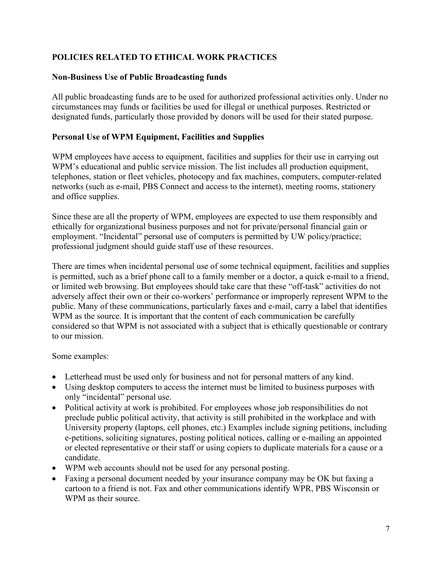# **POLICIES RELATED TO ETHICAL WORK PRACTICES**

## **Non-Business Use of Public Broadcasting funds**

All public broadcasting funds are to be used for authorized professional activities only. Under no circumstances may funds or facilities be used for illegal or unethical purposes. Restricted or designated funds, particularly those provided by donors will be used for their stated purpose.

## **Personal Use of WPM Equipment, Facilities and Supplies**

WPM employees have access to equipment, facilities and supplies for their use in carrying out WPM's educational and public service mission. The list includes all production equipment, telephones, station or fleet vehicles, photocopy and fax machines, computers, computer-related networks (such as e-mail, PBS Connect and access to the internet), meeting rooms, stationery and office supplies.

Since these are all the property of WPM, employees are expected to use them responsibly and ethically for organizational business purposes and not for private/personal financial gain or employment. "Incidental" personal use of computers is permitted by UW policy/practice; professional judgment should guide staff use of these resources.

There are times when incidental personal use of some technical equipment, facilities and supplies is permitted, such as a brief phone call to a family member or a doctor, a quick e-mail to a friend, or limited web browsing. But employees should take care that these "off-task" activities do not adversely affect their own or their co-workers' performance or improperly represent WPM to the public. Many of these communications, particularly faxes and e-mail, carry a label that identifies WPM as the source. It is important that the content of each communication be carefully considered so that WPM is not associated with a subject that is ethically questionable or contrary to our mission.

## Some examples:

- Letterhead must be used only for business and not for personal matters of any kind.
- Using desktop computers to access the internet must be limited to business purposes with only "incidental" personal use.
- Political activity at work is prohibited. For employees whose job responsibilities do not preclude public political activity, that activity is still prohibited in the workplace and with University property (laptops, cell phones, etc.) Examples include signing petitions, including e-petitions, soliciting signatures, posting political notices, calling or e-mailing an appointed or elected representative or their staff or using copiers to duplicate materials for a cause or a candidate.
- WPM web accounts should not be used for any personal posting.
- Faxing a personal document needed by your insurance company may be OK but faxing a cartoon to a friend is not. Fax and other communications identify WPR, PBS Wisconsin or WPM as their source.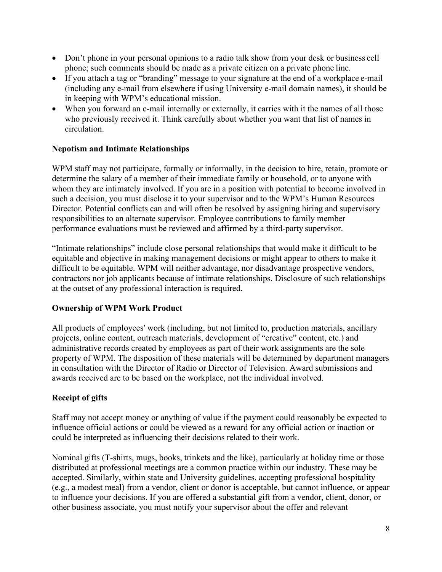- Don't phone in your personal opinions to a radio talk show from your desk or business cell phone; such comments should be made as a private citizen on a private phone line.
- If you attach a tag or "branding" message to your signature at the end of a workplace e-mail (including any e-mail from elsewhere if using University e-mail domain names), it should be in keeping with WPM's educational mission.
- When you forward an e-mail internally or externally, it carries with it the names of all those who previously received it. Think carefully about whether you want that list of names in circulation.

# **Nepotism and Intimate Relationships**

WPM staff may not participate, formally or informally, in the decision to hire, retain, promote or determine the salary of a member of their immediate family or household, or to anyone with whom they are intimately involved. If you are in a position with potential to become involved in such a decision, you must disclose it to your supervisor and to the WPM's Human Resources Director. Potential conflicts can and will often be resolved by assigning hiring and supervisory responsibilities to an alternate supervisor. Employee contributions to family member performance evaluations must be reviewed and affirmed by a third-party supervisor.

"Intimate relationships" include close personal relationships that would make it difficult to be equitable and objective in making management decisions or might appear to others to make it difficult to be equitable. WPM will neither advantage, nor disadvantage prospective vendors, contractors nor job applicants because of intimate relationships. Disclosure of such relationships at the outset of any professional interaction is required.

## **Ownership of WPM Work Product**

All products of employees' work (including, but not limited to, production materials, ancillary projects, online content, outreach materials, development of "creative" content, etc.) and administrative records created by employees as part of their work assignments are the sole property of WPM. The disposition of these materials will be determined by department managers in consultation with the Director of Radio or Director of Television. Award submissions and awards received are to be based on the workplace, not the individual involved.

## **Receipt of gifts**

Staff may not accept money or anything of value if the payment could reasonably be expected to influence official actions or could be viewed as a reward for any official action or inaction or could be interpreted as influencing their decisions related to their work.

Nominal gifts (T-shirts, mugs, books, trinkets and the like), particularly at holiday time or those distributed at professional meetings are a common practice within our industry. These may be accepted. Similarly, within state and University guidelines, accepting professional hospitality (e.g., a modest meal) from a vendor, client or donor is acceptable, but cannot influence, or appear to influence your decisions. If you are offered a substantial gift from a vendor, client, donor, or other business associate, you must notify your supervisor about the offer and relevant